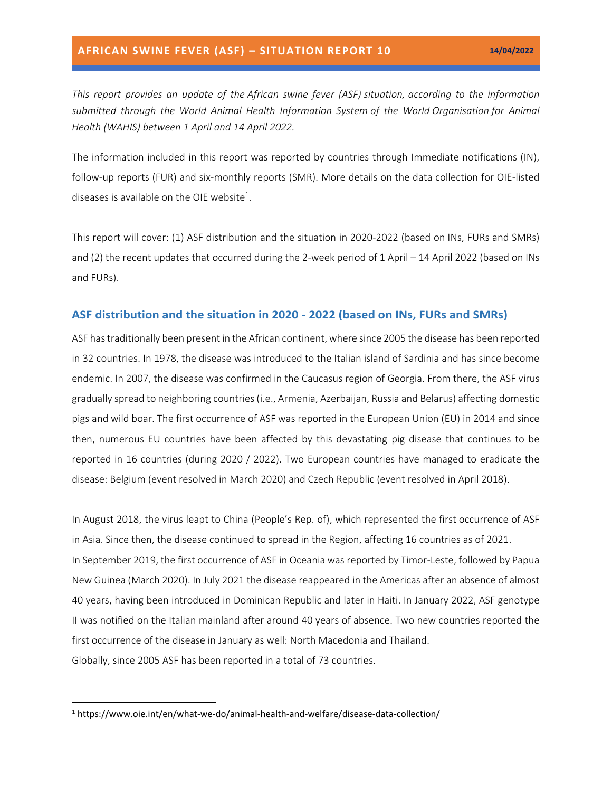*This report provides an update of the African swine fever (ASF) situation, according to the information submitted through the World Animal Health Information System of the World Organisation for Animal Health (WAHIS) between 1 April and 14 April 2022.*

The information included in this report was reported by countries through Immediate notifications (IN), follow-up reports (FUR) and six-monthly reports (SMR). More details on the data collection for OIE-listed diseases is available on the OIE website<sup>1</sup>.

This report will cover: (1) ASF distribution and the situation in 2020-2022 (based on INs, FURs and SMRs) and (2) the recent updates that occurred during the 2-week period of 1 April – 14 April 2022 (based on INs and FURs).

#### **ASF distribution and the situation in 2020 - 2022 (based on INs, FURs and SMRs)**

ASF has traditionally been present in the African continent, where since 2005 the disease has been reported in 32 countries. In 1978, the disease was introduced to the Italian island of Sardinia and has since become endemic. In 2007, the disease was confirmed in the Caucasus region of Georgia. From there, the ASF virus gradually spread to neighboring countries (i.e., Armenia, Azerbaijan, Russia and Belarus) affecting domestic pigs and wild boar. The first occurrence of ASF was reported in the European Union (EU) in 2014 and since then, numerous EU countries have been affected by this devastating pig disease that continues to be reported in 16 countries (during 2020 / 2022). Two European countries have managed to eradicate the disease: Belgium (event resolved in March 2020) and Czech Republic (event resolved in April 2018).

In August 2018, the virus leapt to China (People's Rep. of), which represented the first occurrence of ASF in Asia. Since then, the disease continued to spread in the Region, affecting 16 countries as of 2021. In September 2019, the first occurrence of ASF in Oceania was reported by Timor-Leste, followed by Papua New Guinea (March 2020). In July 2021 the disease reappeared in the Americas after an absence of almost 40 years, having been introduced in Dominican Republic and later in Haiti. In January 2022, ASF genotype II was notified on the Italian mainland after around 40 years of absence. Two new countries reported the first occurrence of the disease in January as well: North Macedonia and Thailand. Globally, since 2005 ASF has been reported in a total of 73 countries.

<sup>1</sup> https://www.oie.int/en/what-we-do/animal-health-and-welfare/disease-data-collection/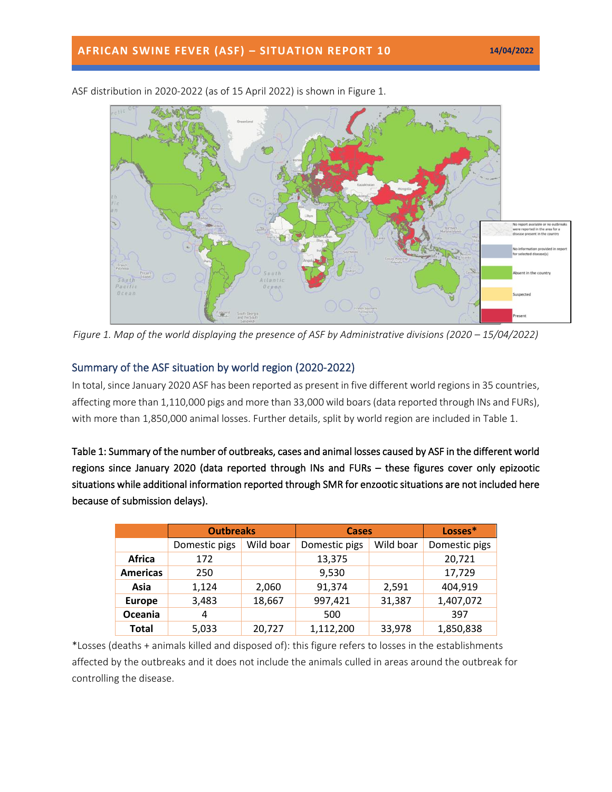

ASF distribution in 2020-2022 (as of 15 April 2022) is shown in Figure 1.

*Figure 1. Map of the world displaying the presence of ASF by Administrative divisions (2020 – 15/04/2022)* 

# Summary of the ASF situation by world region (2020-2022)

In total, since January 2020 ASF has been reported as present in five different world regions in 35 countries, affecting more than 1,110,000 pigs and more than 33,000 wild boars(data reported through INs and FURs), with more than 1,850,000 animal losses. Further details, split by world region are included in Table 1.

Table 1: Summary of the number of outbreaks, cases and animal losses caused by ASF in the different world regions since January 2020 (data reported through INs and FURs – these figures cover only epizootic situations while additional information reported through SMR for enzootic situations are not included here because of submission delays).

|                 | <b>Outbreaks</b> |           | <b>Cases</b>  |           | Losses*       |
|-----------------|------------------|-----------|---------------|-----------|---------------|
|                 | Domestic pigs    | Wild boar | Domestic pigs | Wild boar | Domestic pigs |
| Africa          | 172              |           | 13,375        |           | 20,721        |
| <b>Americas</b> | 250              |           | 9,530         |           | 17,729        |
| Asia            | 1,124            | 2,060     | 91,374        | 2,591     | 404,919       |
| <b>Europe</b>   | 3,483            | 18,667    | 997,421       | 31,387    | 1,407,072     |
| Oceania         | 4                |           | 500           |           | 397           |
| <b>Total</b>    | 5,033            | 20,727    | 1,112,200     | 33,978    | 1,850,838     |

\*Losses (deaths + animals killed and disposed of): this figure refers to losses in the establishments affected by the outbreaks and it does not include the animals culled in areas around the outbreak for controlling the disease.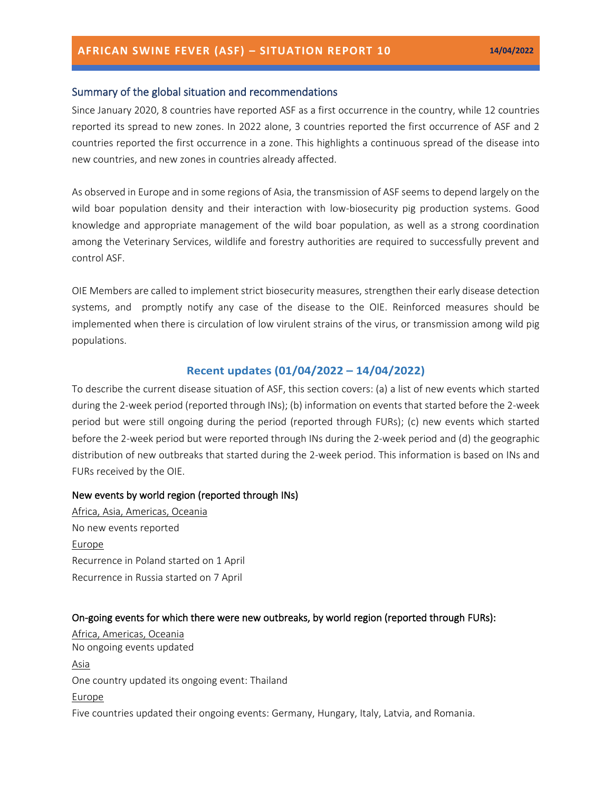### Summary of the global situation and recommendations

Since January 2020, 8 countries have reported ASF as a first occurrence in the country, while 12 countries reported its spread to new zones. In 2022 alone, 3 countries reported the first occurrence of ASF and 2 countries reported the first occurrence in a zone. This highlights a continuous spread of the disease into new countries, and new zones in countries already affected.

As observed in Europe and in some regions of Asia, the transmission of ASF seems to depend largely on the wild boar population density and their interaction with low-biosecurity pig production systems. Good knowledge and appropriate management of the wild boar population, as well as a strong coordination among the Veterinary Services, wildlife and forestry authorities are required to successfully prevent and control ASF.

OIE Members are called to implement strict [biosecurity measures,](https://trello.com/c/jbPlhbq6/55-infographic-en-es-fr-ru-ch) strengthen their early disease detection systems, and promptly notify any case of the disease to the OIE. Reinforced measures should be implemented when there is circulation of low virulent strains of the virus, or transmission among wild pig populations.

## **Recent updates (01/04/2022 – 14/04/2022)**

To describe the current disease situation of ASF, this section covers: (a) a list of new events which started during the 2-week period (reported through INs); (b) information on events that started before the 2-week period but were still ongoing during the period (reported through FURs); (c) new events which started before the 2-week period but were reported through INs during the 2-week period and (d) the geographic distribution of new outbreaks that started during the 2-week period. This information is based on INs and FURs received by the OIE.

### New events by world region (reported through INs)

Africa, Asia, Americas, Oceania No new events reported Europe Recurrence in Poland started on 1 April Recurrence in Russia started on 7 April

#### On-going events for which there were new outbreaks, by world region (reported through FURs):

Africa, Americas, Oceania No ongoing events updated Asia One country updated its ongoing event: Thailand **Europe** Five countries updated their ongoing events: Germany, Hungary, Italy, Latvia, and Romania.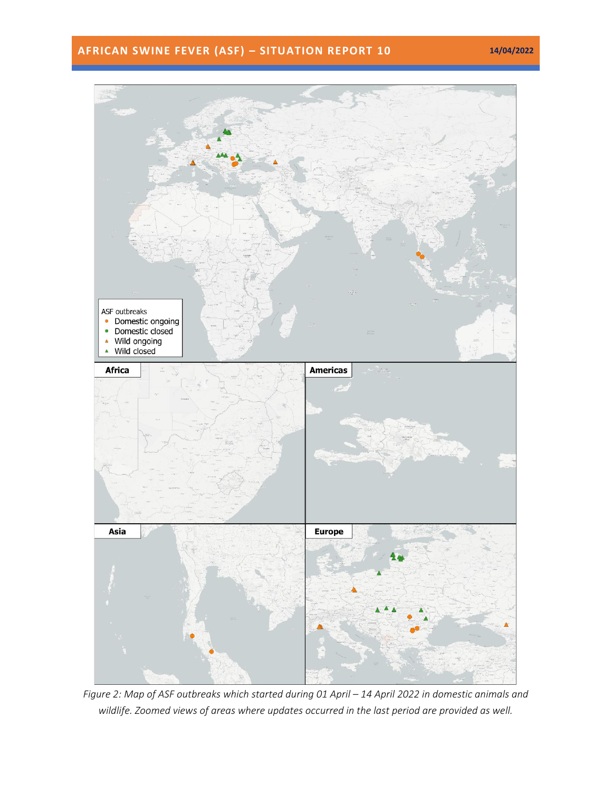# **AFRICAN SWINE FEVER (ASF) – SITUATION REPORT 10 14/04/2022**



*Figure 2: Map of ASF outbreaks which started during 01 April – 14 April 2022 in domestic animals and wildlife. Zoomed views of areas where updates occurred in the last period are provided as well.*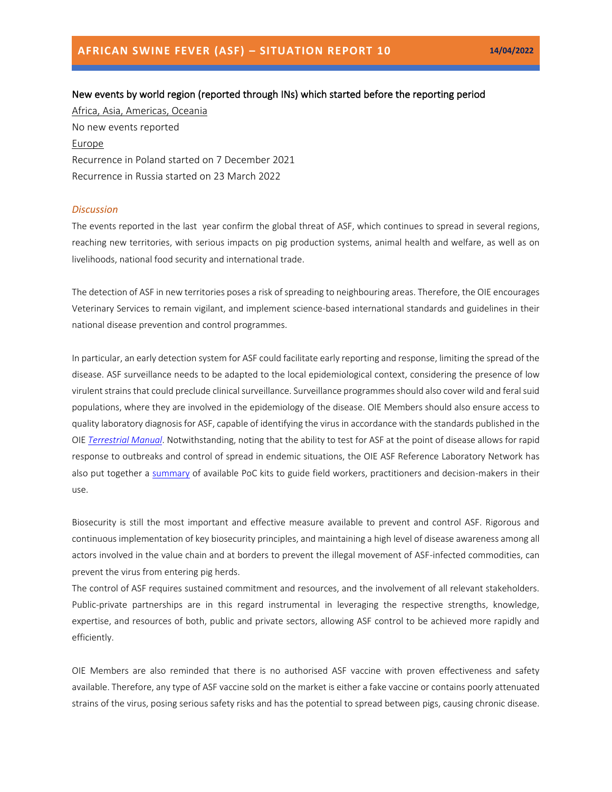# New events by world region (reported through INs) which started before the reporting period Africa, Asia, Americas, Oceania

No new events reported Europe Recurrence in Poland started on 7 December 2021 Recurrence in Russia started on 23 March 2022

#### *Discussion*

The events reported in the last year confirm the global threat of ASF, which continues to spread in several regions, reaching new territories, with serious impacts on pig production systems, animal health and welfare, as well as on livelihoods, national food security and international trade.

The detection of ASF in new territories poses a risk of spreading to neighbouring areas. Therefore, the OIE encourages Veterinary Services to remain vigilant, and implement science-based international standards and guidelines in their national disease prevention and control programmes.

In particular, an early detection system for ASF could facilitate early reporting and response, limiting the spread of the disease. ASF surveillance needs to be adapted to the local epidemiological context, considering the presence of low virulent strains that could preclude clinical surveillance. Surveillance programmes should also cover wild and feral suid populations, where they are involved in the epidemiology of the disease. OIE Members should also ensure access to quality laboratory diagnosis for ASF, capable of identifying the virus in accordance with the standards published in the OIE *[Terrestrial Manual](https://www.oie.int/en/what-we-do/standards/codes-and-manuals/terrestrial-manual-online-access/)*. Notwithstanding, noting that the ability to test for ASF at the point of disease allows for rapid response to outbreaks and control of spread in endemic situations, the OIE ASF Reference Laboratory Network has also put together a [summary](https://www.oie.int/app/uploads/2022/03/en-oie-asf-poc-tests-guide-final.pdf) of available PoC kits to guide field workers, practitioners and decision-makers in their use.

Biosecurity is still the most important and effective measure available to prevent and control ASF. Rigorous and continuous implementation of key biosecurity principles, and maintaining a high level of disease awareness among all actors involved in the value chain and at borders to prevent the illegal movement of ASF-infected commodities, can prevent the virus from entering pig herds.

The control of ASF requires sustained commitment and resources, and the involvement of all relevant stakeholders. Public-private partnerships are in this regard instrumental in leveraging the respective strengths, knowledge, expertise, and resources of both, public and private sectors, allowing ASF control to be achieved more rapidly and efficiently.

OIE Members are also reminded that there is no authorised ASF vaccine with proven effectiveness and safety available. Therefore, any type of ASF vaccine sold on the market is either a fake vaccine or contains poorly attenuated strains of the virus, posing serious safety risks and has the potential to spread between pigs, causing chronic disease.